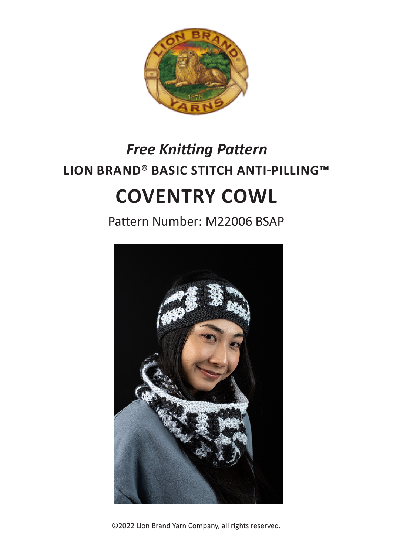

# **LION BRAND® BASIC STITCH ANTI-PILLING™ COVENTRY COWL** *Free Knitting Pattern*

Pattern Number: M22006 BSAP



©2022 Lion Brand Yarn Company, all rights reserved.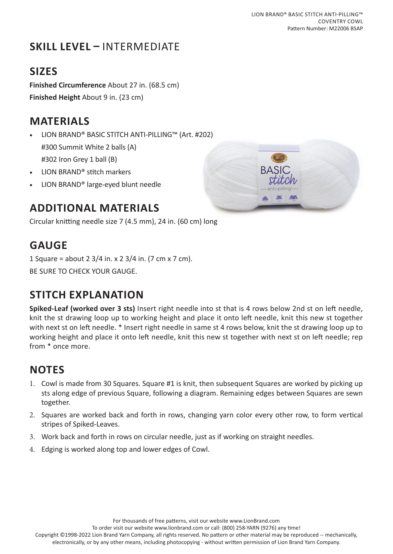# **SKILL LEVEL –** INTERMEDIATE

## **SIZES**

**Finished Circumference** About 27 in. (68.5 cm) **Finished Height** About 9 in. (23 cm)

#### **MATERIALS**

- LION BRAND® BASIC STITCH ANTI-PILLING™ (Art. #202) #300 Summit White 2 balls (A) #302 Iron Grey 1 ball (B)
- LION BRAND® stitch markers
- LION BRAND® large-eyed blunt needle

#### **ADDITIONAL MATERIALS**

Circular knitting needle size 7 (4.5 mm), 24 in. (60 cm) long

#### **GAUGE**

1 Square = about 2 3/4 in. x 2 3/4 in. (7 cm x 7 cm). BE SURE TO CHECK YOUR GAUGE.

#### **STITCH EXPLANATION**

**Spiked-Leaf (worked over 3 sts)** Insert right needle into st that is 4 rows below 2nd st on left needle, knit the st drawing loop up to working height and place it onto left needle, knit this new st together with next st on left needle. \* Insert right needle in same st 4 rows below, knit the st drawing loop up to working height and place it onto left needle, knit this new st together with next st on left needle; rep from \* once more.

#### **NOTES**

- 1. Cowl is made from 30 Squares. Square #1 is knit, then subsequent Squares are worked by picking up sts along edge of previous Square, following a diagram. Remaining edges between Squares are sewn together.
- 2. Squares are worked back and forth in rows, changing yarn color every other row, to form vertical stripes of Spiked-Leaves.
- 3. Work back and forth in rows on circular needle, just as if working on straight needles.
- 4. Edging is worked along top and lower edges of Cowl.

For thousands of free patterns, visit our website www.LionBrand.com

To order visit our website www.lionbrand.com or call: (800) 258-YARN (9276) any time!

Copyright ©1998-2022 Lion Brand Yarn Company, all rights reserved. No pattern or other material may be reproduced -- mechanically, electronically, or by any other means, including photocopying - without written permission of Lion Brand Yarn Company.

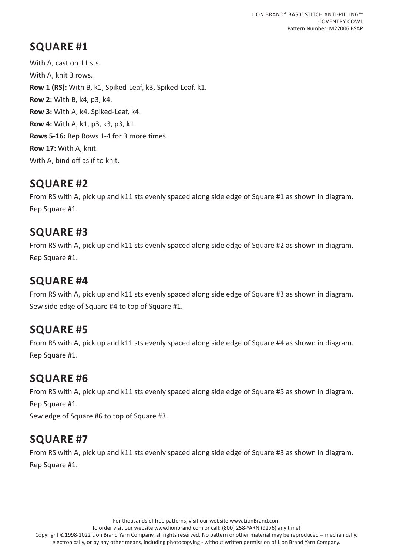With A, cast on 11 sts. With A, knit 3 rows. **Row 1 (RS):** With B, k1, Spiked-Leaf, k3, Spiked-Leaf, k1. **Row 2:** With B, k4, p3, k4. **Row 3:** With A, k4, Spiked-Leaf, k4. **Row 4:** With A, k1, p3, k3, p3, k1. **Rows 5-16:** Rep Rows 1-4 for 3 more times. **Row 17:** With A, knit. With A, bind off as if to knit.

#### **SQUARE #2**

From RS with A, pick up and k11 sts evenly spaced along side edge of Square #1 as shown in diagram. Rep Square #1.

## **SQUARE #3**

From RS with A, pick up and k11 sts evenly spaced along side edge of Square #2 as shown in diagram. Rep Square #1.

# **SQUARE #4**

From RS with A, pick up and k11 sts evenly spaced along side edge of Square #3 as shown in diagram. Sew side edge of Square #4 to top of Square #1.

# **SQUARE #5**

From RS with A, pick up and k11 sts evenly spaced along side edge of Square #4 as shown in diagram. Rep Square #1.

#### **SQUARE #6**

From RS with A, pick up and k11 sts evenly spaced along side edge of Square #5 as shown in diagram. Rep Square #1.

Sew edge of Square #6 to top of Square #3.

# **SQUARE #7**

From RS with A, pick up and k11 sts evenly spaced along side edge of Square #3 as shown in diagram. Rep Square #1.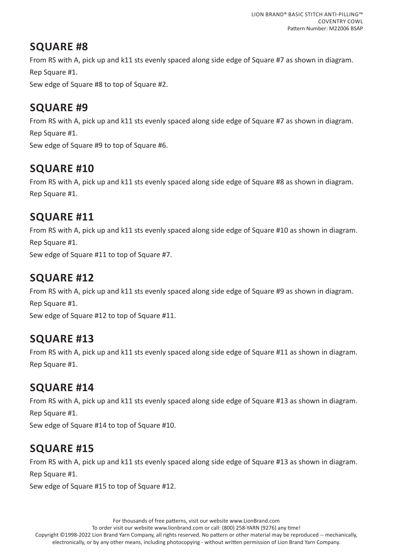From RS with A, pick up and k11 sts evenly spaced along side edge of Square #7 as shown in diagram. Rep Square #1.

Sew edge of Square #8 to top of Square #2.

# **SQUARE #9**

From RS with A, pick up and k11 sts evenly spaced along side edge of Square #7 as shown in diagram. Rep Square #1. Sew edge of Square #9 to top of Square #6.

# **SQUARE #10**

From RS with A, pick up and k11 sts evenly spaced along side edge of Square #8 as shown in diagram. Rep Square #1.

#### **SQUARE #11**

From RS with A, pick up and k11 sts evenly spaced along side edge of Square #10 as shown in diagram. Rep Square #1.

Sew edge of Square #11 to top of Square #7.

## **SQUARE #12**

From RS with A, pick up and k11 sts evenly spaced along side edge of Square #9 as shown in diagram. Rep Square #1.

Sew edge of Square #12 to top of Square #11.

#### **SQUARE #13**

From RS with A, pick up and k11 sts evenly spaced along side edge of Square #11 as shown in diagram. Rep Square #1.

#### **SQUARE #14**

From RS with A, pick up and k11 sts evenly spaced along side edge of Square #13 as shown in diagram. Rep Square #1.

Sew edge of Square #14 to top of Square #10.

# **SQUARE #15**

From RS with A, pick up and k11 sts evenly spaced along side edge of Square #13 as shown in diagram. Rep Square #1.

Sew edge of Square #15 to top of Square #12.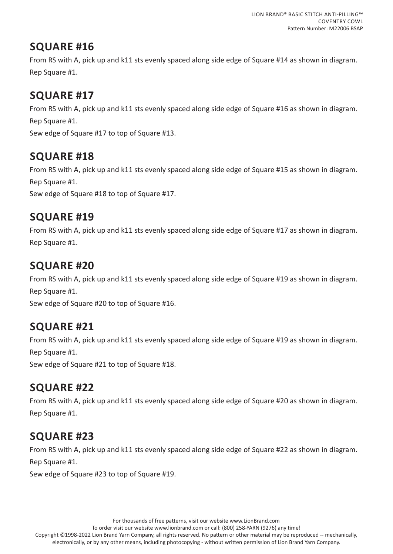From RS with A, pick up and k11 sts evenly spaced along side edge of Square #14 as shown in diagram. Rep Square #1.

## **SQUARE #17**

From RS with A, pick up and k11 sts evenly spaced along side edge of Square #16 as shown in diagram. Rep Square #1.

Sew edge of Square #17 to top of Square #13.

# **SQUARE #18**

From RS with A, pick up and k11 sts evenly spaced along side edge of Square #15 as shown in diagram. Rep Square #1. Sew edge of Square #18 to top of Square #17.

## **SQUARE #19**

From RS with A, pick up and k11 sts evenly spaced along side edge of Square #17 as shown in diagram. Rep Square #1.

# **SQUARE #20**

From RS with A, pick up and k11 sts evenly spaced along side edge of Square #19 as shown in diagram. Rep Square #1. Sew edge of Square #20 to top of Square #16.

# **SQUARE #21**

From RS with A, pick up and k11 sts evenly spaced along side edge of Square #19 as shown in diagram. Rep Square #1.

Sew edge of Square #21 to top of Square #18.

# **SQUARE #22**

From RS with A, pick up and k11 sts evenly spaced along side edge of Square #20 as shown in diagram. Rep Square #1.

# **SQUARE #23**

From RS with A, pick up and k11 sts evenly spaced along side edge of Square #22 as shown in diagram. Rep Square #1.

Sew edge of Square #23 to top of Square #19.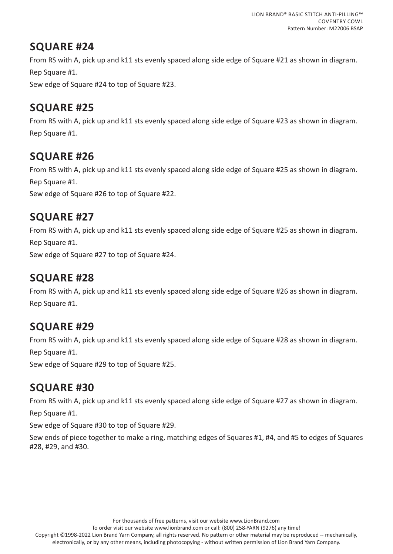From RS with A, pick up and k11 sts evenly spaced along side edge of Square #21 as shown in diagram. Rep Square #1.

Sew edge of Square #24 to top of Square #23.

# **SQUARE #25**

From RS with A, pick up and k11 sts evenly spaced along side edge of Square #23 as shown in diagram. Rep Square #1.

# **SQUARE #26**

From RS with A, pick up and k11 sts evenly spaced along side edge of Square #25 as shown in diagram. Rep Square #1. Sew edge of Square #26 to top of Square #22.

#### **SQUARE #27**

From RS with A, pick up and k11 sts evenly spaced along side edge of Square #25 as shown in diagram. Rep Square #1.

Sew edge of Square #27 to top of Square #24.

# **SQUARE #28**

From RS with A, pick up and k11 sts evenly spaced along side edge of Square #26 as shown in diagram. Rep Square #1.

# **SQUARE #29**

From RS with A, pick up and k11 sts evenly spaced along side edge of Square #28 as shown in diagram. Rep Square #1.

Sew edge of Square #29 to top of Square #25.

# **SQUARE #30**

From RS with A, pick up and k11 sts evenly spaced along side edge of Square #27 as shown in diagram.

Rep Square #1.

Sew edge of Square #30 to top of Square #29.

Sew ends of piece together to make a ring, matching edges of Squares #1, #4, and #5 to edges of Squares #28, #29, and #30.

To order visit our website www.lionbrand.com or call: (800) 258-YARN (9276) any time!

Copyright ©1998-2022 Lion Brand Yarn Company, all rights reserved. No pattern or other material may be reproduced -- mechanically, electronically, or by any other means, including photocopying - without written permission of Lion Brand Yarn Company.